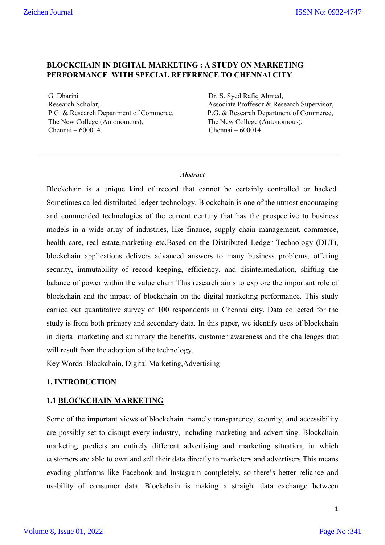# **BLOCKCHAIN IN DIGITAL MARKETING : A STUDY ON MARKETING PERFORMANCE WITH SPECIAL REFERENCE TO CHENNAI CITY**

G. Dharini Dr. S. Syed Rafiq Ahmed, Research Scholar, Associate Proffesor & Research Supervisor, P.G. & Research Department of Commerce, P.G. & Research Department of Commerce, The New College (Autonomous), The New College (Autonomous), Chennai – 600014. Chennai – 600014.

### *Abstract*

Blockchain is a unique kind of record that cannot be certainly controlled or hacked. Sometimes called distributed ledger technology. Blockchain is one of the utmost encouraging and commended technologies of the current century that has the prospective to business models in a wide array of industries, like finance, supply chain management, commerce, health care, real estate,marketing etc.Based on the Distributed Ledger Technology (DLT), blockchain applications delivers advanced answers to many business problems, offering security, immutability of record keeping, efficiency, and disintermediation, shifting the balance of power within the value chain This research aims to explore the important role of blockchain and the impact of blockchain on the digital marketing performance. This study carried out quantitative survey of 100 respondents in Chennai city. Data collected for the study is from both primary and secondary data. In this paper, we identify uses of blockchain in digital marketing and summary the benefits, customer awareness and the challenges that will result from the adoption of the technology.

Key Words: Blockchain, Digital Marketing,Advertising

## **1. INTRODUCTION**

## **1.1 BLOCKCHAIN MARKETING**

Some of the important views of blockchain namely transparency, security, and accessibility are possibly set to disrupt every industry, including marketing and advertising. Blockchain marketing predicts an entirely different advertising and marketing situation, in which customers are able to own and sell their data directly to marketers and advertisers.This means evading platforms like Facebook and Instagram completely, so there's better reliance and usability of consumer data. Blockchain is making a straight data exchange between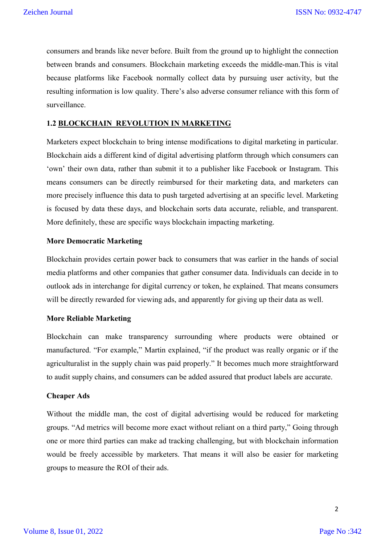consumers and brands like never before. Built from the ground up to highlight the connection between brands and consumers. Blockchain marketing exceeds the middle-man.This is vital because platforms like Facebook normally collect data by pursuing user activity, but the resulting information is low quality. There's also adverse consumer reliance with this form of surveillance.

### **1.2 BLOCKCHAIN REVOLUTION IN MARKETING**

Marketers expect blockchain to bring intense modifications to digital marketing in particular. Blockchain aids a different kind of digital advertising platform through which consumers can 'own' their own data, rather than submit it to a publisher like Facebook or Instagram. This means consumers can be directly reimbursed for their marketing data, and marketers can more precisely influence this data to push targeted advertising at an specific level. Marketing is focused by data these days, and blockchain sorts data accurate, reliable, and transparent. More definitely, these are specific ways blockchain impacting marketing.

### **More Democratic Marketing**

Blockchain provides certain power back to consumers that was earlier in the hands of social media platforms and other companies that gather consumer data. Individuals can decide in to outlook ads in interchange for digital currency or token, he explained. That means consumers will be directly rewarded for viewing ads, and apparently for giving up their data as well.

### **More Reliable Marketing**

Blockchain can make transparency surrounding where products were obtained or manufactured. "For example," Martin explained, "if the product was really organic or if the agriculturalist in the supply chain was paid properly." It becomes much more straightforward to audit supply chains, and consumers can be added assured that product labels are accurate.

### **Cheaper Ads**

Without the middle man, the cost of digital advertising would be reduced for marketing groups. "Ad metrics will become more exact without reliant on a third party," Going through one or more third parties can make ad tracking challenging, but with blockchain information would be freely accessible by marketers. That means it will also be easier for marketing groups to measure the ROI of their ads.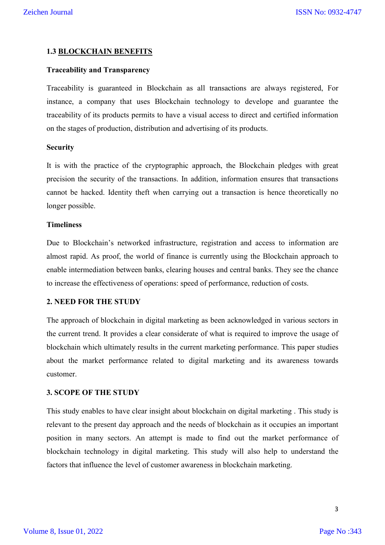### **1.3 BLOCKCHAIN BENEFITS**

### **Traceability and Transparency**

Traceability is guaranteed in Blockchain as all transactions are always registered, For instance, a company that uses Blockchain technology to develope and guarantee the traceability of its products permits to have a visual access to direct and certified information on the stages of production, distribution and advertising of its products.

### **Security**

It is with the practice of the cryptographic approach, the Blockchain pledges with great precision the security of the transactions. In addition, information ensures that transactions cannot be hacked. Identity theft when carrying out a transaction is hence theoretically no longer possible.

### **Timeliness**

Due to Blockchain's networked infrastructure, registration and access to information are almost rapid. As proof, the world of finance is currently using the Blockchain approach to enable intermediation between banks, clearing houses and central banks. They see the chance to increase the effectiveness of operations: speed of performance, reduction of costs.

### **2. NEED FOR THE STUDY**

The approach of blockchain in digital marketing as been acknowledged in various sectors in the current trend. It provides a clear considerate of what is required to improve the usage of blockchain which ultimately results in the current marketing performance. This paper studies about the market performance related to digital marketing and its awareness towards customer.

### **3. SCOPE OF THE STUDY**

This study enables to have clear insight about blockchain on digital marketing . This study is relevant to the present day approach and the needs of blockchain as it occupies an important position in many sectors. An attempt is made to find out the market performance of blockchain technology in digital marketing. This study will also help to understand the factors that influence the level of customer awareness in blockchain marketing.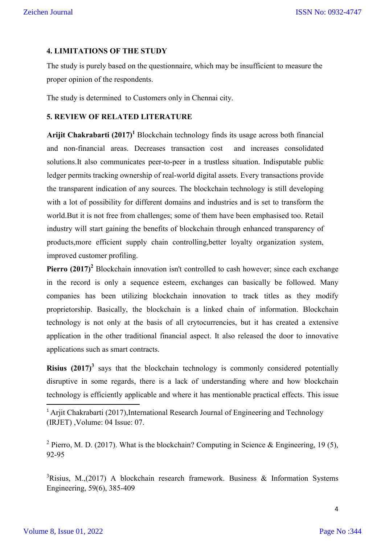### **4. LIMITATIONS OF THE STUDY**

The study is purely based on the questionnaire, which may be insufficient to measure the proper opinion of the respondents.

The study is determined to Customers only in Chennai city.

### **5. REVIEW OF RELATED LITERATURE**

**Arijit Chakrabarti (2017)**<sup>1</sup> Blockchain technology finds its usage across both financial and non-financial areas. Decreases transaction cost and increases consolidated solutions.It also communicates peer-to-peer in a trustless situation. Indisputable public ledger permits tracking ownership of real-world digital assets. Every transactions provide the transparent indication of any sources. The blockchain technology is still developing with a lot of possibility for different domains and industries and is set to transform the world.But it is not free from challenges; some of them have been emphasised too. Retail industry will start gaining the benefits of blockchain through enhanced transparency of products,more efficient supply chain controlling,better loyalty organization system, improved customer profiling.

**Pierro (2017)**<sup>2</sup> Blockchain innovation isn't controlled to cash however; since each exchange in the record is only a sequence esteem, exchanges can basically be followed. Many companies has been utilizing blockchain innovation to track titles as they modify proprietorship. Basically, the blockchain is a linked chain of information. Blockchain technology is not only at the basis of all crytocurrencies, but it has created a extensive application in the other traditional financial aspect. It also released the door to innovative applications such as smart contracts.

**Risius (2017)**<sup>3</sup> says that the blockchain technology is commonly considered potentially disruptive in some regards, there is a lack of understanding where and how blockchain technology is efficiently applicable and where it has mentionable practical effects. This issue

<sup>2</sup> Pierro, M. D. (2017). What is the blockchain? Computing in Science & Engineering, 19 (5), 92-95

 $3$ Risius, M.,(2017) A blockchain research framework. Business & Information Systems Engineering, 59(6), 385-409

<sup>&</sup>lt;sup>1</sup> Arjit Chakrabarti (2017), International Research Journal of Engineering and Technology (IRJET) ,Volume: 04 Issue: 07.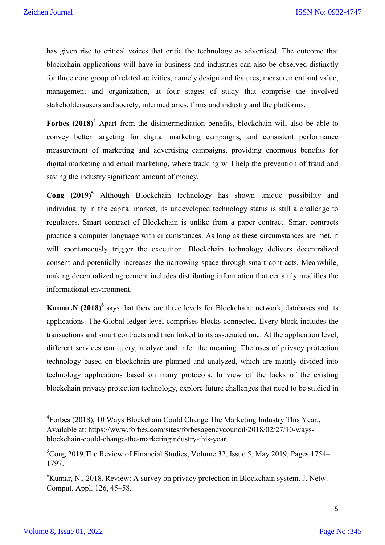has given rise to critical voices that critic the technology as advertised. The outcome that blockchain applications will have in business and industries can also be observed distinctly for three core group of related activities, namely design and features, measurement and value, management and organization, at four stages of study that comprise the involved stakeholdersusers and society, intermediaries, firms and industry and the platforms.

Forbes (2018)<sup>4</sup> Apart from the disintermediation benefits, blockchain will also be able to convey better targeting for digital marketing campaigns, and consistent performance measurement of marketing and advertising campaigns, providing enormous benefits for digital marketing and email marketing, where tracking will help the prevention of fraud and saving the industry significant amount of money.

**Cong (2019)5** Although Blockchain technology has shown unique possibility and individuality in the capital market, its undeveloped technology status is still a challenge to regulators. Smart contract of Blockchain is unlike from a paper contract. Smart contracts practice a computer language with circumstances. As long as these circumstances are met, it will spontaneously trigger the execution. Blockchain technology delivers decentralized consent and potentially increases the narrowing space through smart contracts. Meanwhile, making decentralized agreement includes distributing information that certainly modifies the informational environment.

**Kumar.N (2018)<sup>6</sup>** says that there are three levels for Blockchain: network, databases and its applications. The Global ledger level comprises blocks connected. Every block includes the transactions and smart contracts and then linked to its associated one. At the application level, different services can query, analyze and infer the meaning. The uses of privacy protection technology based on blockchain are planned and analyzed, which are mainly divided into technology applications based on many protocols. In view of the lacks of the existing blockchain privacy protection technology, explore future challenges that need to be studied in

4 Forbes (2018), 10 Ways Blockchain Could Change The Marketing Industry This Year., Available at: https://www.forbes.com/sites/forbesagencycouncil/2018/02/27/10-waysblockchain-could-change-the-marketingindustry-this-year.

*<sup>5</sup>* Cong 2019,The Review of Financial Studies, Volume 32, Issue 5, May 2019, Pages 1754– 1797.

<sup>&</sup>lt;sup>6</sup>Kumar, N., 2018. Review: A survey on privacy protection in Blockchain system. J. Netw. Comput. Appl. 126, 45–58.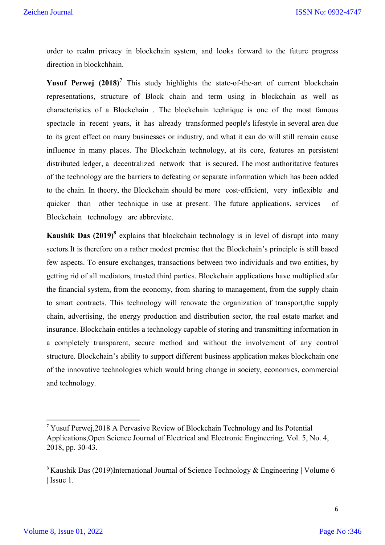order to realm privacy in blockchain system, and looks forward to the future progress direction in blockchhain.

**Yusuf Perwej (2018)<sup>7</sup>** This study highlights the state-of-the-art of current blockchain representations, structure of Block chain and term using in blockchain as well as characteristics of a Blockchain . The blockchain technique is one of the most famous spectacle in recent years, it has already transformed people's lifestyle in several area due to its great effect on many businesses or industry, and what it can do will still remain cause influence in many places. The Blockchain technology, at its core, features an persistent distributed ledger, a decentralized network that is secured. The most authoritative features of the technology are the barriers to defeating or separate information which has been added to the chain. In theory, the Blockchain should be more cost-efficient, very inflexible and quicker than other technique in use at present. The future applications, services of Blockchain technology are abbreviate.

**Kaushik Das (2019)<sup>8</sup>** explains that blockchain technology is in level of disrupt into many sectors.It is therefore on a rather modest premise that the Blockchain's principle is still based few aspects. To ensure exchanges, transactions between two individuals and two entities, by getting rid of all mediators, trusted third parties. Blockchain applications have multiplied afar the financial system, from the economy, from sharing to management, from the supply chain to smart contracts. This technology will renovate the organization of transport,the supply chain, advertising, the energy production and distribution sector, the real estate market and insurance. Blockchain entitles a technology capable of storing and transmitting information in a completely transparent, secure method and without the involvement of any control structure. Blockchain's ability to support different business application makes blockchain one of the innovative technologies which would bring change in society, economics, commercial and technology.

 <sup>7</sup> Yusuf Perwej,2018 A Pervasive Review of Blockchain Technology and Its Potential Applications,Open Science Journal of Electrical and Electronic Engineering. Vol. 5, No. 4, 2018, pp. 30-43.

<sup>&</sup>lt;sup>8</sup> Kaushik Das (2019)International Journal of Science Technology & Engineering | Volume 6 | Issue 1.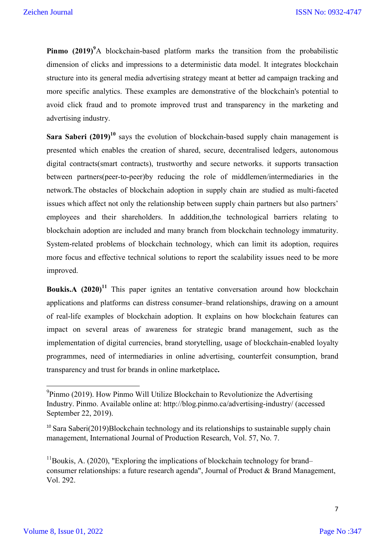Pinmo (2019)<sup>9</sup>A blockchain-based platform marks the transition from the probabilistic dimension of clicks and impressions to a deterministic data model. It integrates blockchain structure into its general media advertising strategy meant at better ad campaign tracking and more specific analytics. These examples are demonstrative of the blockchain's potential to avoid click fraud and to promote improved trust and transparency in the marketing and advertising industry.

**Sara Saberi (2019)<sup>10</sup>** says the evolution of blockchain-based supply chain management is presented which enables the creation of shared, secure, decentralised ledgers, autonomous digital contracts(smart contracts), trustworthy and secure networks. it supports transaction between partners(peer-to-peer)by reducing the role of middlemen/intermediaries in the network.The obstacles of blockchain adoption in supply chain are studied as multi-faceted issues which affect not only the relationship between supply chain partners but also partners' employees and their shareholders. In adddition,the technological barriers relating to blockchain adoption are included and many branch from blockchain technology immaturity. System-related problems of blockchain technology, which can limit its adoption, requires more focus and effective technical solutions to report the scalability issues need to be more improved.

**Boukis.A** (2020)<sup>11</sup> This paper ignites an tentative conversation around how blockchain applications and platforms can distress consumer–brand relationships, drawing on a amount of real-life examples of blockchain adoption. It explains on how blockchain features can impact on several areas of awareness for strategic brand management, such as the implementation of digital currencies, brand storytelling, usage of blockchain-enabled loyalty programmes, need of intermediaries in online advertising, counterfeit consumption, brand transparency and trust for brands in online marketplace**.**

<sup>&</sup>lt;sup>9</sup><br>Pinmo (2019). How Pinmo Will Utilize Blockchain to Revolutionize the Advertising Industry. Pinmo. Available online at: http://blog.pinmo.ca/advertising-industry/ (accessed September 22, 2019).

 $10$  Sara Saberi(2019)Blockchain technology and its relationships to sustainable supply chain management, International Journal of Production Research, Vol. 57, No. 7.

 $11$ Boukis, A. (2020), "Exploring the implications of blockchain technology for brand– consumer relationships: a future research agenda", Journal of Product & Brand Management, Vol. 292.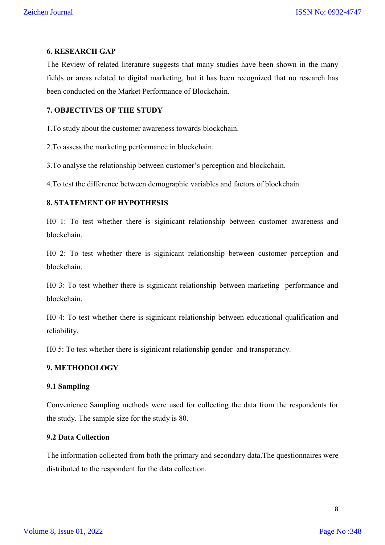### **6. RESEARCH GAP**

The Review of related literature suggests that many studies have been shown in the many fields or areas related to digital marketing, but it has been recognized that no research has been conducted on the Market Performance of Blockchain.

# **7. OBJECTIVES OF THE STUDY**

1.To study about the customer awareness towards blockchain.

2.To assess the marketing performance in blockchain.

3.To analyse the relationship between customer's perception and blockchain.

4.To test the difference between demographic variables and factors of blockchain.

## **8. STATEMENT OF HYPOTHESIS**

H0 1: To test whether there is siginicant relationship between customer awareness and blockchain.

H0 2: To test whether there is siginicant relationship between customer perception and blockchain.

H0 3: To test whether there is siginicant relationship between marketing performance and blockchain.

H0 4: To test whether there is siginicant relationship between educational qualification and reliability.

H0 5: To test whether there is siginicant relationship gender and transperancy.

# **9. METHODOLOGY**

### **9.1 Sampling**

Convenience Sampling methods were used for collecting the data from the respondents for the study. The sample size for the study is 80.

## **9.2 Data Collection**

The information collected from both the primary and secondary data.The questionnaires were distributed to the respondent for the data collection.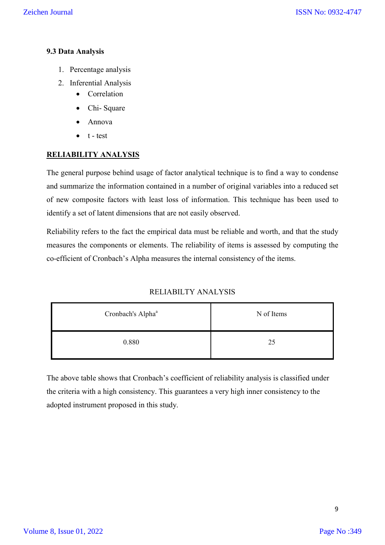# **9.3 Data Analysis**

- 1. Percentage analysis
- 2. Inferential Analysis
	- Correlation
	- Chi- Square
	- Annova
	- $\bullet$  t test

# **RELIABILITY ANALYSIS**

The general purpose behind usage of factor analytical technique is to find a way to condense and summarize the information contained in a number of original variables into a reduced set of new composite factors with least loss of information. This technique has been used to identify a set of latent dimensions that are not easily observed.

Reliability refers to the fact the empirical data must be reliable and worth, and that the study measures the components or elements. The reliability of items is assessed by computing the co-efficient of Cronbach's Alpha measures the internal consistency of the items.

## RELIABILTY ANALYSIS

| Cronbach's Alpha <sup>a</sup> | N of Items |  |  |
|-------------------------------|------------|--|--|
| 0.880                         | 25         |  |  |

The above table shows that Cronbach's coefficient of reliability analysis is classified under the criteria with a high consistency. This guarantees a very high inner consistency to the adopted instrument proposed in this study.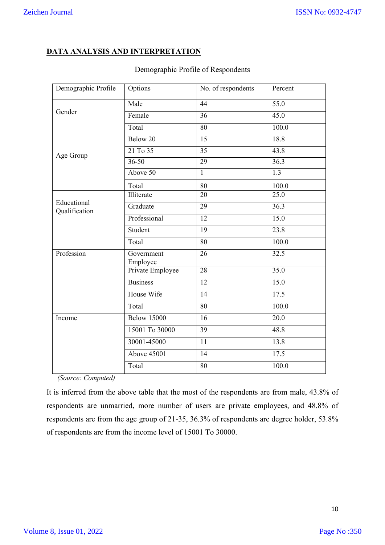# **DATA ANALYSIS AND INTERPRETATION**

| Demographic Profile          | Options                | No. of respondents | Percent |  |
|------------------------------|------------------------|--------------------|---------|--|
|                              | Male                   | 44                 | 55.0    |  |
| Gender                       | Female                 | 36                 | 45.0    |  |
|                              | Total                  | 80                 | 100.0   |  |
|                              | Below 20               | 15                 | 18.8    |  |
| Age Group                    | 21 To 35               | 35                 | 43.8    |  |
|                              | $36 - 50$              | 29                 | 36.3    |  |
|                              | Above 50               | $\mathbf{1}$       | 1.3     |  |
|                              | Total                  | 80                 | 100.0   |  |
|                              | Illiterate             | 20                 | 25.0    |  |
| Educational<br>Qualification | Graduate               | 29                 | 36.3    |  |
|                              | Professional           | 12                 | 15.0    |  |
|                              | Student                | $\overline{19}$    | 23.8    |  |
|                              | Total                  | 80                 | 100.0   |  |
| Profession                   | Government<br>Employee | 26                 | 32.5    |  |
|                              | Private Employee       | 28                 | 35.0    |  |
|                              | <b>Business</b>        | 12                 | 15.0    |  |
|                              | House Wife             | 14                 | 17.5    |  |
|                              | Total                  | 80                 | 100.0   |  |
| Income                       | <b>Below 15000</b>     | 16                 | 20.0    |  |
|                              | 15001 To 30000         | $\overline{39}$    | 48.8    |  |
|                              | 30001-45000            | 11                 | 13.8    |  |
|                              | Above 45001            | 14                 | 17.5    |  |
|                              | Total                  | 80                 | 100.0   |  |

# Demographic Profile of Respondents

*(Source: Computed)* 

It is inferred from the above table that the most of the respondents are from male, 43.8% of respondents are unmarried, more number of users are private employees, and 48.8% of respondents are from the age group of 21-35, 36.3% of respondents are degree holder, 53.8% of respondents are from the income level of 15001 To 30000.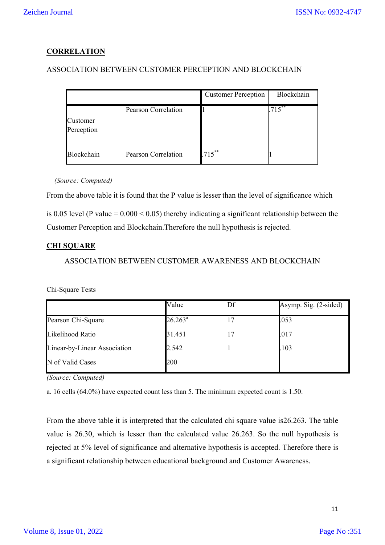# **CORRELATION**

# ASSOCIATION BETWEEN CUSTOMER PERCEPTION AND BLOCKCHAIN

|                        |                     | <b>Customer Perception</b> | Blockchain |
|------------------------|---------------------|----------------------------|------------|
| Customer<br>Perception | Pearson Correlation |                            | $715***$   |
| Blockchain             | Pearson Correlation | $.715***$                  |            |

*(Source: Computed)* 

From the above table it is found that the P value is lesser than the level of significance which

is 0.05 level (P value =  $0.000 \le 0.05$ ) thereby indicating a significant relationship between the Customer Perception and Blockchain.Therefore the null hypothesis is rejected.

## **CHI SQUARE**

## ASSOCIATION BETWEEN CUSTOMER AWARENESS AND BLOCKCHAIN

Chi-Square Tests

|                              | Value      | Asymp. Sig. (2-sided) |
|------------------------------|------------|-----------------------|
| Pearson Chi-Square           | $26.263^a$ | .053                  |
| Likelihood Ratio             | 31.451     | .017                  |
| Linear-by-Linear Association | 2.542      | .103                  |
| N of Valid Cases             | 200        |                       |

*(Source: Computed)* 

a. 16 cells (64.0%) have expected count less than 5. The minimum expected count is 1.50.

From the above table it is interpreted that the calculated chi square value is26.263. The table value is 26.30, which is lesser than the calculated value 26.263. So the null hypothesis is rejected at 5% level of significance and alternative hypothesis is accepted. Therefore there is a significant relationship between educational background and Customer Awareness.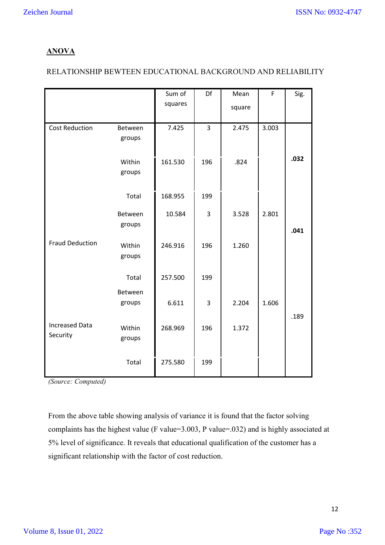# **ANOVA**

# RELATIONSHIP BEWTEEN EDUCATIONAL BACKGROUND AND RELIABILITY

|                                   |                   | Sum of  | Df  | Mean   | F     | Sig. |
|-----------------------------------|-------------------|---------|-----|--------|-------|------|
|                                   |                   | squares |     | square |       |      |
| <b>Cost Reduction</b>             | Between<br>groups | 7.425   | 3   | 2.475  | 3.003 |      |
|                                   | Within<br>groups  | 161.530 | 196 | .824   |       | .032 |
|                                   | Total             | 168.955 | 199 |        |       |      |
|                                   | Between<br>groups | 10.584  | 3   | 3.528  | 2.801 | .041 |
| <b>Fraud Deduction</b>            | Within<br>groups  | 246.916 | 196 | 1.260  |       |      |
|                                   | Total             | 257.500 | 199 |        |       |      |
|                                   | Between<br>groups | 6.611   | 3   | 2.204  | 1.606 | .189 |
| <b>Increased Data</b><br>Security | Within<br>groups  | 268.969 | 196 | 1.372  |       |      |
|                                   | Total             | 275.580 | 199 |        |       |      |

*(Source: Computed)* 

From the above table showing analysis of variance it is found that the factor solving complaints has the highest value (F value=3.003, P value=.032) and is highly associated at 5% level of significance. It reveals that educational qualification of the customer has a significant relationship with the factor of cost reduction.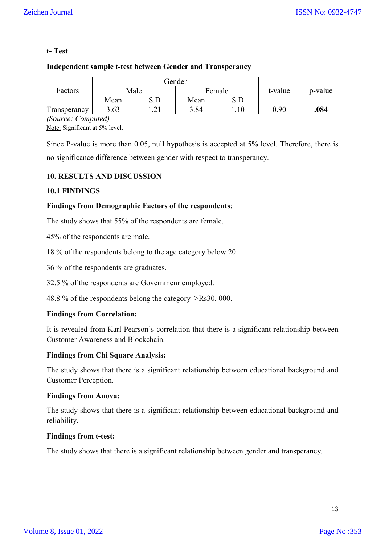# **t- Test**

# **Independent sample t-test between Gender and Transperancy**

|              | Gender |                              |        |                                  |         |         |
|--------------|--------|------------------------------|--------|----------------------------------|---------|---------|
| Factors      | Male   |                              | Female |                                  | t-value | p-value |
|              | Mean   | S.D                          | Mean   | $\mathbf{c}$ $\mathbf{D}$<br>.JL |         |         |
| Transperancy | 3.63   | $\bigcap$<br>$\cdot$ 4 $\pm$ | 3.84   |                                  | 0.90    | .084    |

*(Source: Computed)* Note: Significant at 5% level.

Since P-value is more than 0.05, null hypothesis is accepted at 5% level. Therefore, there is no significance difference between gender with respect to transperancy.

# **10. RESULTS AND DISCUSSION**

# **10.1 FINDINGS**

# **Findings from Demographic Factors of the respondents**:

The study shows that 55% of the respondents are female.

45% of the respondents are male.

18 % of the respondents belong to the age category below 20.

36 % of the respondents are graduates.

32.5 % of the respondents are Governmenr employed.

48.8 % of the respondents belong the category >Rs30, 000.

# **Findings from Correlation:**

It is revealed from Karl Pearson's correlation that there is a significant relationship between Customer Awareness and Blockchain.

## **Findings from Chi Square Analysis:**

The study shows that there is a significant relationship between educational background and Customer Perception.

## **Findings from Anova:**

The study shows that there is a significant relationship between educational background and reliability.

## **Findings from t-test:**

The study shows that there is a significant relationship between gender and transperancy.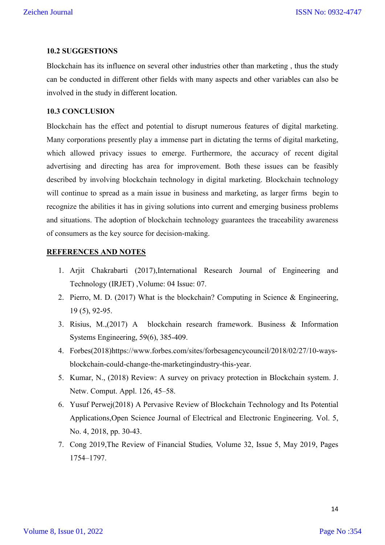### **10.2 SUGGESTIONS**

Blockchain has its influence on several other industries other than marketing , thus the study can be conducted in different other fields with many aspects and other variables can also be involved in the study in different location.

## **10.3 CONCLUSION**

Blockchain has the effect and potential to disrupt numerous features of digital marketing. Many corporations presently play a immense part in dictating the terms of digital marketing, which allowed privacy issues to emerge. Furthermore, the accuracy of recent digital advertising and directing has area for improvement. Both these issues can be feasibly described by involving blockchain technology in digital marketing. Blockchain technology will continue to spread as a main issue in business and marketing, as larger firms begin to recognize the abilities it has in giving solutions into current and emerging business problems and situations. The adoption of blockchain technology guarantees the traceability awareness of consumers as the key source for decision-making.

#### **REFERENCES AND NOTES**

- 1. Arjit Chakrabarti (2017),International Research Journal of Engineering and Technology (IRJET) ,Volume: 04 Issue: 07.
- 2. Pierro, M. D. (2017) What is the blockchain? Computing in Science & Engineering, 19 (5), 92-95.
- 3. Risius, M.,(2017) A blockchain research framework. Business & Information Systems Engineering, 59(6), 385-409.
- 4. Forbes(2018)https://www.forbes.com/sites/forbesagencycouncil/2018/02/27/10-waysblockchain-could-change-the-marketingindustry-this-year.
- 5. Kumar, N., (2018) Review: A survey on privacy protection in Blockchain system. J. Netw. Comput. Appl. 126, 45–58.
- 6. Yusuf Perwej(2018) A Pervasive Review of Blockchain Technology and Its Potential Applications,Open Science Journal of Electrical and Electronic Engineering. Vol. 5, No. 4, 2018, pp. 30-43.
- 7. Cong 2019,The Review of Financial Studies*,* Volume 32, Issue 5, May 2019, Pages 1754–1797.